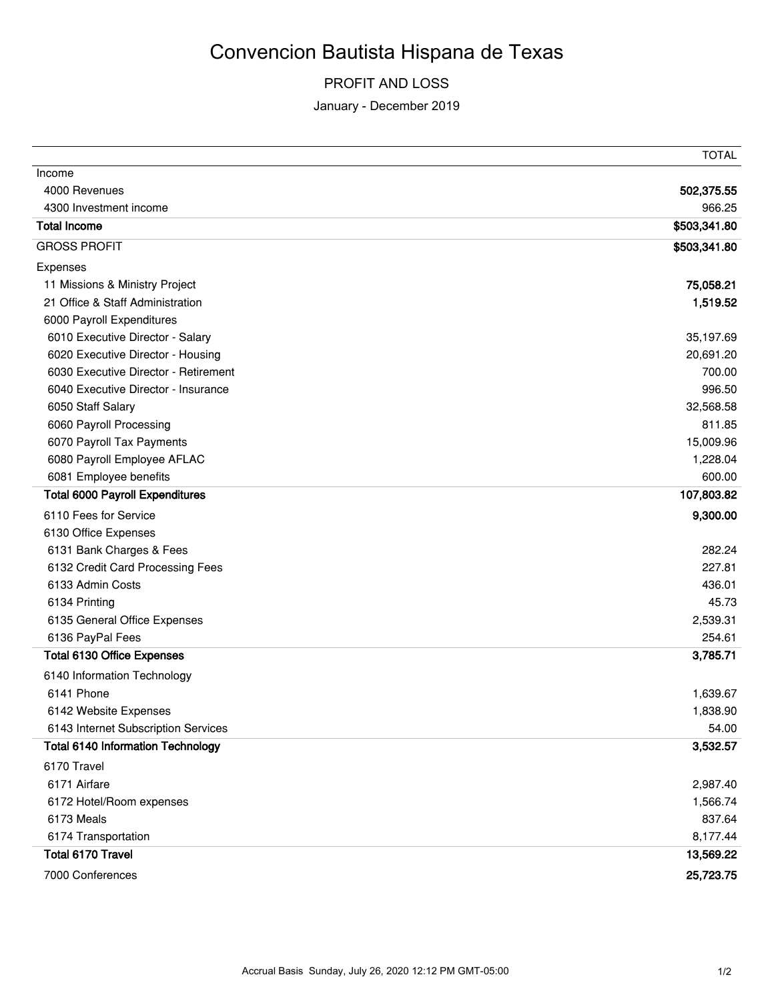## Convencion Bautista Hispana de Texas

## PROFIT AND LOSS

January - December 2019

|                                          | TOTAL        |
|------------------------------------------|--------------|
| Income                                   |              |
| 4000 Revenues                            | 502,375.55   |
| 4300 Investment income                   | 966.25       |
| <b>Total Income</b>                      | \$503,341.80 |
| <b>GROSS PROFIT</b>                      | \$503,341.80 |
| Expenses                                 |              |
| 11 Missions & Ministry Project           | 75,058.21    |
| 21 Office & Staff Administration         | 1,519.52     |
| 6000 Payroll Expenditures                |              |
| 6010 Executive Director - Salary         | 35,197.69    |
| 6020 Executive Director - Housing        | 20,691.20    |
| 6030 Executive Director - Retirement     | 700.00       |
| 6040 Executive Director - Insurance      | 996.50       |
| 6050 Staff Salary                        | 32,568.58    |
| 6060 Payroll Processing                  | 811.85       |
| 6070 Payroll Tax Payments                | 15,009.96    |
| 6080 Payroll Employee AFLAC              | 1,228.04     |
| 6081 Employee benefits                   | 600.00       |
| <b>Total 6000 Payroll Expenditures</b>   | 107,803.82   |
| 6110 Fees for Service                    | 9,300.00     |
| 6130 Office Expenses                     |              |
| 6131 Bank Charges & Fees                 | 282.24       |
| 6132 Credit Card Processing Fees         | 227.81       |
| 6133 Admin Costs                         | 436.01       |
| 6134 Printing                            | 45.73        |
| 6135 General Office Expenses             | 2,539.31     |
| 6136 PayPal Fees                         | 254.61       |
| <b>Total 6130 Office Expenses</b>        | 3,785.71     |
| 6140 Information Technology              |              |
| 6141 Phone                               | 1,639.67     |
| 6142 Website Expenses                    | 1,838.90     |
| 6143 Internet Subscription Services      | 54.00        |
| <b>Total 6140 Information Technology</b> | 3,532.57     |
| 6170 Travel                              |              |
| 6171 Airfare                             | 2,987.40     |
| 6172 Hotel/Room expenses                 | 1,566.74     |
| 6173 Meals                               | 837.64       |
| 6174 Transportation                      | 8,177.44     |
| Total 6170 Travel                        | 13,569.22    |
| 7000 Conferences                         | 25,723.75    |
|                                          |              |